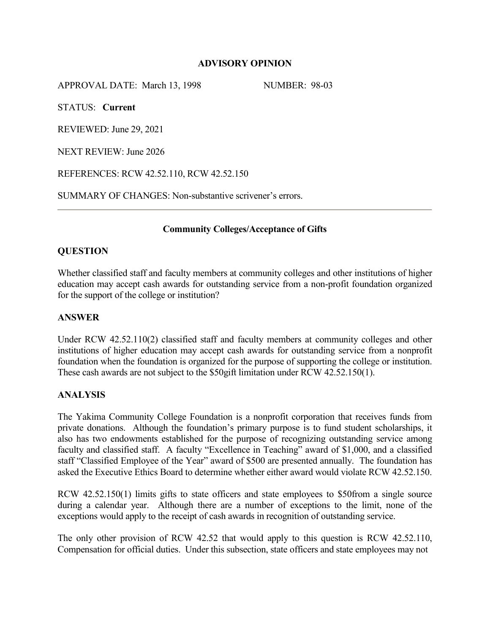# **ADVISORY OPINION**

APPROVAL DATE: March 13, 1998 NUMBER: 98-03

STATUS: **Current**

REVIEWED: June 29, 2021

NEXT REVIEW: June 2026

REFERENCES: RCW 42.52.110, RCW 42.52.150

SUMMARY OF CHANGES: Non-substantive scrivener's errors.

# **Community Colleges/Acceptance of Gifts**

# **QUESTION**

Whether classified staff and faculty members at community colleges and other institutions of higher education may accept cash awards for outstanding service from a non-profit foundation organized for the support of the college or institution?

### **ANSWER**

Under RCW 42.52.110(2) classified staff and faculty members at community colleges and other institutions of higher education may accept cash awards for outstanding service from a nonprofit foundation when the foundation is organized for the purpose of supporting the college or institution. These cash awards are not subject to the \$50gift limitation under RCW 42.52.150(1).

#### **ANALYSIS**

The Yakima Community College Foundation is a nonprofit corporation that receives funds from private donations. Although the foundation's primary purpose is to fund student scholarships, it also has two endowments established for the purpose of recognizing outstanding service among faculty and classified staff. A faculty "Excellence in Teaching" award of \$1,000, and a classified staff "Classified Employee of the Year" award of \$500 are presented annually. The foundation has asked the Executive Ethics Board to determine whether either award would violate RCW 42.52.150.

RCW 42.52.150(1) limits gifts to state officers and state employees to \$50from a single source during a calendar year. Although there are a number of exceptions to the limit, none of the exceptions would apply to the receipt of cash awards in recognition of outstanding service.

The only other provision of RCW 42.52 that would apply to this question is RCW 42.52.110, Compensation for official duties. Under this subsection, state officers and state employees may not